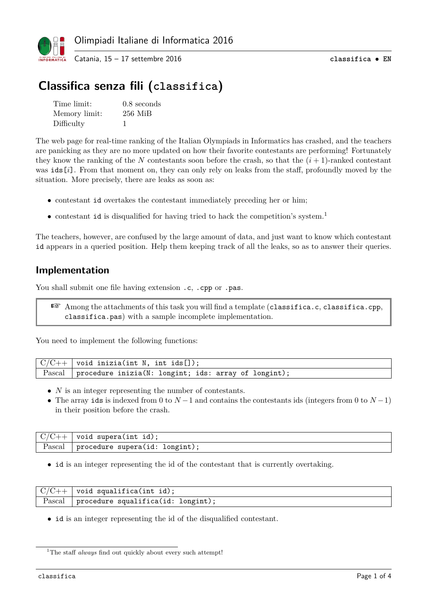

# **Classifica senza fili (classifica)**

| Time limit:   | $0.8$ seconds |
|---------------|---------------|
| Memory limit: | $256$ MiB     |
| Difficulty    |               |

The web page for real-time ranking of the Italian Olympiads in Informatics has crashed, and the teachers are panicking as they are no more updated on how their favorite contestants are performing! Fortunately they know the ranking of the *N* contestants soon before the crash, so that the  $(i + 1)$ -ranked contestant was ids[*i*]. From that moment on, they can only rely on leaks from the staff, profoundly moved by the situation. More precisely, there are leaks as soon as:

- contestant id overtakes the contestant immediately preceding her or him;
- $\bullet\,$  contestant  $\mathtt{id}$  is disqualified for having tried to hack the competition's system.  $^1$

The teachers, however, are confused by the large amount of data, and just want to know which contestant id appears in a queried position. Help them keeping track of all the leaks, so as to answer their queries.

#### **Implementation**

You shall submit one file having extension .c, .cpp or .pas.

☞ Among the attachments of this task you will find a template (classifica.c, classifica.cpp, classifica.pas) with a sample incomplete implementation.

You need to implement the following functions:

| $\mid C/C++ \mid$ void inizia(int N, int ids[]);                 |
|------------------------------------------------------------------|
| Pascal   procedure inizia( $N:$ longint; ids: array of longint); |

- *N* is an integer representing the number of contestants.
- The array ids is indexed from 0 to  $N-1$  and contains the contestants ids (integers from 0 to  $N-1$ ) in their position before the crash.

| $C/C++$ | void supera(int id);           |
|---------|--------------------------------|
| Pascal  | procedure supera(id: longint); |

• id is an integer representing the id of the contestant that is currently overtaking.

|        | $\mid$ $C/C++\mid$ void squalifica(int id); |
|--------|---------------------------------------------|
| Pascal | procedure squalifica(id: longint);          |

• id is an integer representing the id of the disqualified contestant.

 $^{1}\mathrm{The}$  staff  $always$  find out quickly about every such attempt!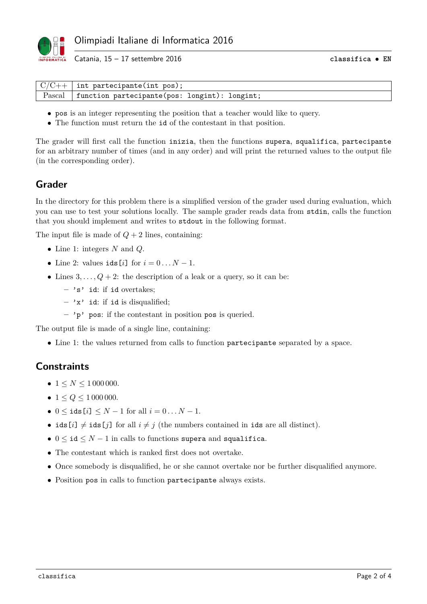

Catania, 15 – 17 settembre 2016 **classifica** • **EN**

| $\mid$ $C/C++\mid$ int partecipante(int pos);          |
|--------------------------------------------------------|
| Pascal   function partecipante(pos: longint): longint; |

- pos is an integer representing the position that a teacher would like to query.
- The function must return the id of the contestant in that position.

The grader will first call the function inizia, then the functions supera, squalifica, partecipante for an arbitrary number of times (and in any order) and will print the returned values to the output file (in the corresponding order).

#### **Grader**

In the directory for this problem there is a simplified version of the grader used during evaluation, which you can use to test your solutions locally. The sample grader reads data from stdin, calls the function that you should implement and writes to stdout in the following format.

The input file is made of  $Q + 2$  lines, containing:

- Line 1: integers *N* and *Q*.
- Line 2: values  $ids[i]$  for  $i = 0...N 1$ .
- Lines  $3, \ldots, Q+2$ : the description of a leak or a query, so it can be:
	- **–** 's' id: if id overtakes;
	- **–** 'x' id: if id is disqualified;
	- **–** 'p' pos: if the contestant in position pos is queried.

The output file is made of a single line, containing:

• Line 1: the values returned from calls to function partecipante separated by a space.

### **Constraints**

- $1 \le N \le 1000000$ .
- $1 \le Q \le 1000000$ .
- $0 \leq$  **ids**  $[i] \leq N 1$  for all  $i = 0 ... N 1$ .
- ids  $[i] \neq$  ids  $[j]$  for all  $i \neq j$  (the numbers contained in ids are all distinct).
- $0 \leq id \leq N-1$  in calls to functions supera and squalifica.
- The contestant which is ranked first does not overtake.
- Once somebody is disqualified, he or she cannot overtake nor be further disqualified anymore.
- Position pos in calls to function partecipante always exists.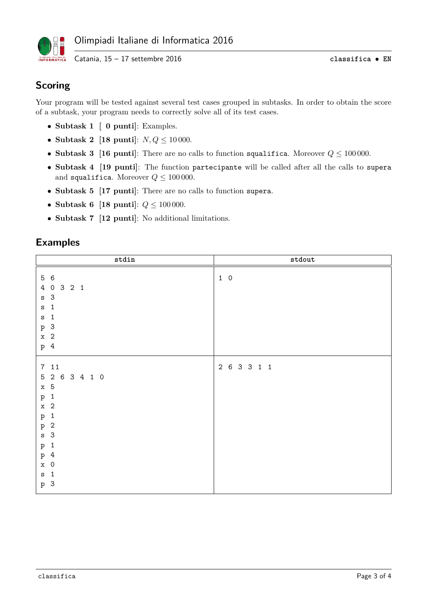

## **Scoring**

Your program will be tested against several test cases grouped in subtasks. In order to obtain the score of a subtask, your program needs to correctly solve all of its test cases.

- **Subtask 1 [ 0 punti]**: Examples.
- **Subtask 2 [18 punti]**: *N, Q* ≤ 10 000.
- **Subtask 3 [16 punti]**: There are no calls to function squalifica. Moreover *Q* ≤ 100 000.
- **Subtask 4 [19 punti]**: The function partecipante will be called after all the calls to supera and squalifica. Moreover  $Q \le 100\,000$ .
- **Subtask 5 [17 punti]**: There are no calls to function supera.
- **Subtask 6 [18 punti]**: *Q* ≤ 100 000.
- **Subtask 7 [12 punti]**: No additional limitations.

#### **Examples**

| $\texttt{stdin}$                                                                                                                                                                                                                                                           | $\operatorname{\texttt{stdout}}$ |
|----------------------------------------------------------------------------------------------------------------------------------------------------------------------------------------------------------------------------------------------------------------------------|----------------------------------|
| 5 6<br>4 0 3 2 1<br>s <sub>3</sub><br>$\mathbf{1}$<br>$\mathtt{s}$<br>$\mathbf{1}$<br>$\mathtt{s}$<br>p 3<br>$x \quad 2$<br>p 4                                                                                                                                            | $1\quad 0$                       |
| 711<br>5 2 6 3 4 1 0<br>$x \quad 5$<br>p 1<br>$x \quad 2$<br>$\mathbf{1}$<br>$\, {\bf p}$<br>$\overline{c}$<br>$\, {\bf p}$<br>$\mathbf{3}$<br>$\mathtt{s}$<br>$\mathbf{1}$<br>$\, {\bf p}$<br>p 4<br>$\overline{0}$<br>$\mathbf x$<br>$\mathbf{1}$<br>$\mathtt{s}$<br>p 3 | 2 6 3 3 1 1                      |